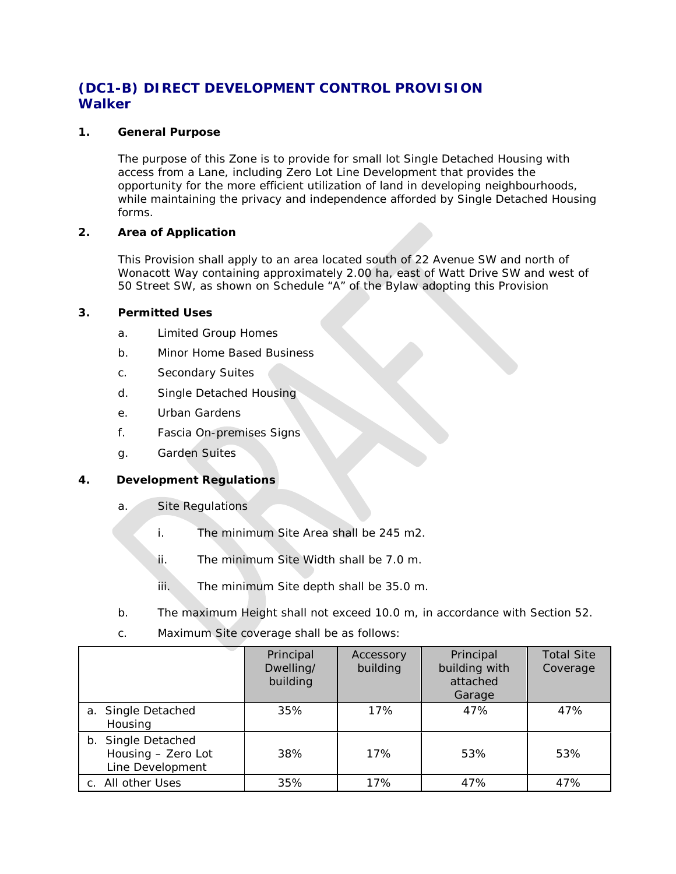# **(DC1-B) DIRECT DEVELOPMENT CONTROL PROVISION Walker**

#### **1. General Purpose**

The purpose of this Zone is to provide for small lot Single Detached Housing with access from a Lane, including Zero Lot Line Development that provides the opportunity for the more efficient utilization of land in developing neighbourhoods, while maintaining the privacy and independence afforded by Single Detached Housing forms.

### **2. Area of Application**

This Provision shall apply to an area located south of 22 Avenue SW and north of Wonacott Way containing approximately 2.00 ha, east of Watt Drive SW and west of 50 Street SW, as shown on Schedule "A" of the Bylaw adopting this Provision

### **3. Permitted Uses**

- a. Limited Group Homes
- b. Minor Home Based Business
- c. Secondary Suites
- d. Single Detached Housing
- e. Urban Gardens
- f. Fascia On-premises Signs
- g. Garden Suites

## **4. Development Regulations**

- a. Site Regulations
	- i. The minimum Site Area shall be [245](javascript:void(0);) m2.
	- ii. The minimum Site Width shall be [7.0](javascript:void(0);) m.
	- iii. The minimum Site depth shall be [35.0 m.](javascript:void(0);)
- b. The maximum Height shall not exceed [10.0](javascript:void(0);) m, in accordance with Section 52.
- c. Maximum Site coverage shall be as follows:

|                                                              | Principal<br>Dwelling/<br>building | Accessory<br>building | Principal<br>building with<br>attached<br>Garage | <b>Total Site</b><br>Coverage |
|--------------------------------------------------------------|------------------------------------|-----------------------|--------------------------------------------------|-------------------------------|
| a. Single Detached<br>Housing                                | 35%                                | 17%                   | 47%                                              | 47%                           |
| b. Single Detached<br>Housing - Zero Lot<br>Line Development | 38%                                | 17%                   | 53%                                              | 53%                           |
| c. All other Uses                                            | 35%                                | 17%                   | 47%                                              | 47%                           |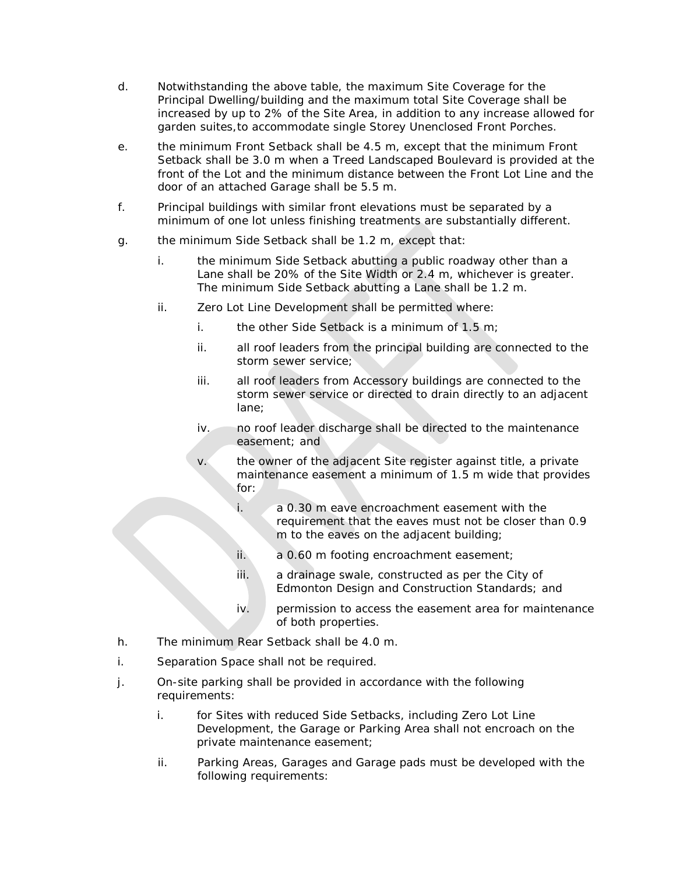- d. Notwithstanding the above table, the maximum Site Coverage for the Principal Dwelling/building and the maximum total Site Coverage shall be increased by up to 2% of the Site Area, in addition to any increase allowed for garden suites,to accommodate single Storey Unenclosed Front Porches.
- e. the minimum Front Setback shall be 4.5 m, except that the minimum Front Setback shall be [3.0 m](javascript:void(0);) when a Treed Landscaped Boulevard is provided at the front of the Lot and the minimum distance between the Front Lot Line and the door of an attached Garage shall be 5.5 m.
- f. Principal buildings with similar front elevations must be separated by a minimum of one lot unless finishing treatments are substantially different.
- g. the minimum Side Setback shall be [1.2 m,](https://webdocs.edmonton.ca/InfraPlan/zoningbylaw/ZoningBylaw/Measurements/im1_2.htm) except that:
	- i. the minimum Side Setback abutting a public roadway other than a Lane shall be 20% of the Site Width or [2.4 m,](javascript:void(0);) whichever is greater. The minimum Side Setback abutting a Lane shall be [1.2 m.](https://webdocs.edmonton.ca/InfraPlan/zoningbylaw/ZoningBylaw/Measurements/im1_2.htm)
	- ii. Zero Lot Line Development shall be permitted where:
		- i. the other Side Setback is a minimum of [1.5 m;](javascript:void(0);)
		- ii. all roof leaders from the principal building are connected to the storm sewer service;
		- iii. all roof leaders from Accessory buildings are connected to the storm sewer service or directed to drain directly to an adjacent lane;
		- iv. no roof leader discharge shall be directed to the maintenance easement; and
		- v. the owner of the adjacent Site register against title, a private maintenance easement a minimum of [1.5 m](javascript:void(0);) wide that provides for:
			- i. a [0.30 m](javascript:void(0);) eave encroachment easement with the requirement that the eaves must not be closer than [0.9](javascript:void(0);) [m](javascript:void(0);) to the eaves on the adjacent building;
			- ii. a [0.60 m](javascript:void(0);) footing encroachment easement;
			- iii. a drainage swale, constructed as per the City of Edmonton Design and Construction Standards; and
			- iv. permission to access the easement area for maintenance of both properties.
- h. The minimum Rear Setback shall be 4.0 m.
- i. Separation Space shall not be required.
- j. On-site parking shall be provided in accordance with the following requirements:
	- i. for Sites with reduced Side Setbacks, including Zero Lot Line Development, the Garage or Parking Area shall not encroach on the private maintenance easement;
	- ii. Parking Areas, Garages and Garage pads must be developed with the following requirements: